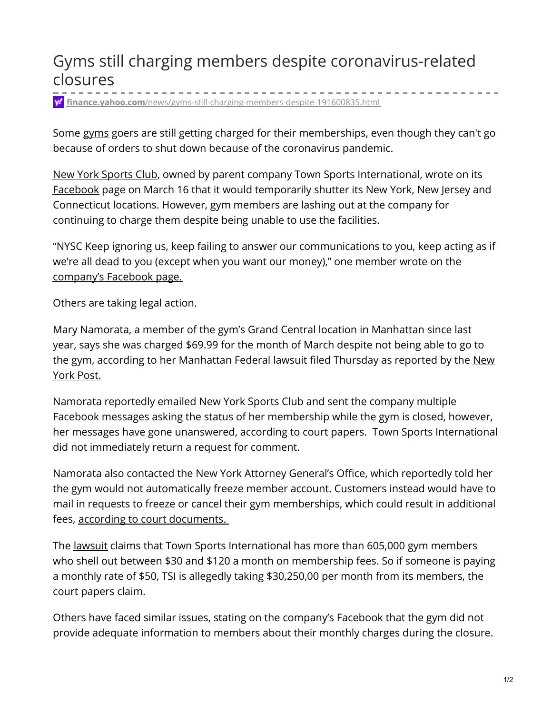## Gyms still charging members despite coronavirus-related closures

**finance.yahoo.com**[/news/gyms-still-charging-members-despite-191600835.html](https://finance.yahoo.com/news/gyms-still-charging-members-despite-191600835.html)

Some [gyms](https://www.foxbusiness.com/lifestyle) goers are still getting charged for their memberships, even though they can't go because of orders to shut down because of the coronavirus pandemic.

New York [Sports](https://www.foxbusiness.com/lifestyle/coronavirus-fitness-industry) Club, owned by parent company Town Sports International, wrote on its [Facebook](https://www.facebook.com/NewYorkSportsClubs6947AustinSt/) page on March 16 that it would temporarily shutter its New York, New Jersey and Connecticut locations. However, gym members are lashing out at the company for continuing to charge them despite being unable to use the facilities.

"NYSC Keep ignoring us, keep failing to answer our communications to you, keep acting as if we're all dead to you (except when you want our money)," one member wrote on the [company's](https://www.facebook.com/NewYorkSportsClubs6947AustinSt/) Facebook page.

Others are taking legal action.

Mary Namorata, a member of the gym's Grand Central location in Manhattan since last year, says she was charged \$69.99 for the month of March despite not being able to go to the gym, according to her [Manhattan](https://nypost.com/2020/03/26/new-york-sports-club-sued-for-charging-members-during-coronavirus-closures/) Federal lawsuit filed Thursday as reported by the New York Post.

Namorata reportedly emailed New York Sports Club and sent the company multiple Facebook messages asking the status of her membership while the gym is closed, however, her messages have gone unanswered, according to court papers. Town Sports International did not immediately return a request for comment.

Namorata also contacted the New York Attorney General's Office, which reportedly told her the gym would not automatically freeze member account. Customers instead would have to mail in requests to freeze or cancel their gym memberships, which could result in additional fees, according to court [documents.](https://nypost.com/2020/03/26/new-york-sports-club-sued-for-charging-members-during-coronavirus-closures/)

The [lawsuit](https://nypost.com/2020/03/26/new-york-sports-club-sued-for-charging-members-during-coronavirus-closures/) claims that Town Sports International has more than 605,000 gym members who shell out between \$30 and \$120 a month on membership fees. So if someone is paying a monthly rate of \$50, TSI is allegedly taking \$30,250,00 per month from its members, the court papers claim.

Others have faced similar issues, stating on the company's Facebook that the gym did not provide adequate information to members about their monthly charges during the closure.